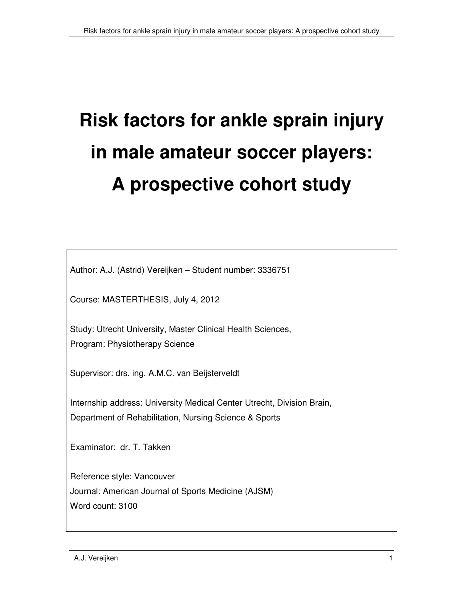# **Risk factors for ankle sprain injury in male amateur soccer players: A prospective cohort study**

Author: A.J. (Astrid) Vereijken – Student number: 3336751

Course: MASTERTHESIS, July 4, 2012

Study: Utrecht University, Master Clinical Health Sciences, Program: Physiotherapy Science

Supervisor: drs. ing. A.M.C. van Beijsterveldt

Internship address: University Medical Center Utrecht, Division Brain, Department of Rehabilitation, Nursing Science & Sports

Examinator: dr. T. Takken

Reference style: Vancouver Journal: American Journal of Sports Medicine (AJSM) Word count: 3100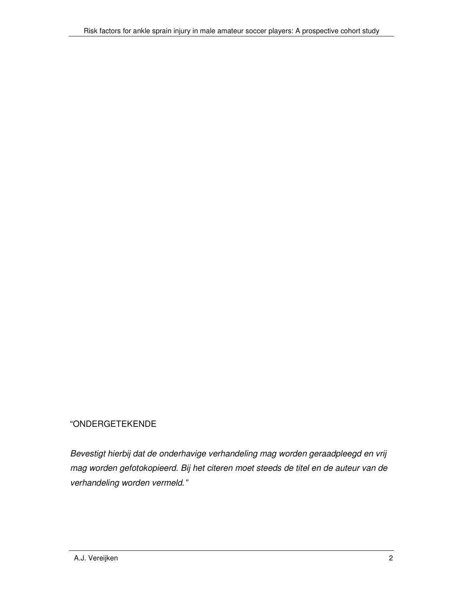#### "ONDERGETEKENDE

Bevestigt hierbij dat de onderhavige verhandeling mag worden geraadpleegd en vrij mag worden gefotokopieerd. Bij het citeren moet steeds de titel en de auteur van de verhandeling worden vermeld."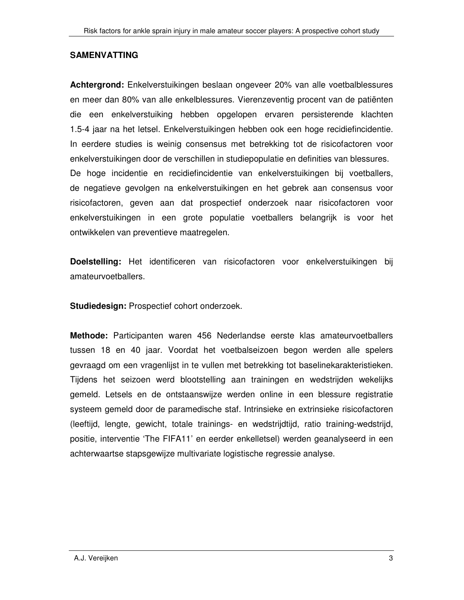#### **SAMENVATTING**

**Achtergrond:** Enkelverstuikingen beslaan ongeveer 20% van alle voetbalblessures en meer dan 80% van alle enkelblessures. Vierenzeventig procent van de patiënten die een enkelverstuiking hebben opgelopen ervaren persisterende klachten 1.5-4 jaar na het letsel. Enkelverstuikingen hebben ook een hoge recidiefincidentie. In eerdere studies is weinig consensus met betrekking tot de risicofactoren voor enkelverstuikingen door de verschillen in studiepopulatie en definities van blessures. De hoge incidentie en recidiefincidentie van enkelverstuikingen bij voetballers, de negatieve gevolgen na enkelverstuikingen en het gebrek aan consensus voor risicofactoren, geven aan dat prospectief onderzoek naar risicofactoren voor enkelverstuikingen in een grote populatie voetballers belangrijk is voor het ontwikkelen van preventieve maatregelen.

**Doelstelling:** Het identificeren van risicofactoren voor enkelverstuikingen bij amateurvoetballers.

**Studiedesign:** Prospectief cohort onderzoek.

**Methode:** Participanten waren 456 Nederlandse eerste klas amateurvoetballers tussen 18 en 40 jaar. Voordat het voetbalseizoen begon werden alle spelers gevraagd om een vragenlijst in te vullen met betrekking tot baselinekarakteristieken. Tijdens het seizoen werd blootstelling aan trainingen en wedstrijden wekelijks gemeld. Letsels en de ontstaanswijze werden online in een blessure registratie systeem gemeld door de paramedische staf. Intrinsieke en extrinsieke risicofactoren (leeftijd, lengte, gewicht, totale trainings- en wedstrijdtijd, ratio training-wedstrijd, positie, interventie 'The FIFA11' en eerder enkelletsel) werden geanalyseerd in een achterwaartse stapsgewijze multivariate logistische regressie analyse.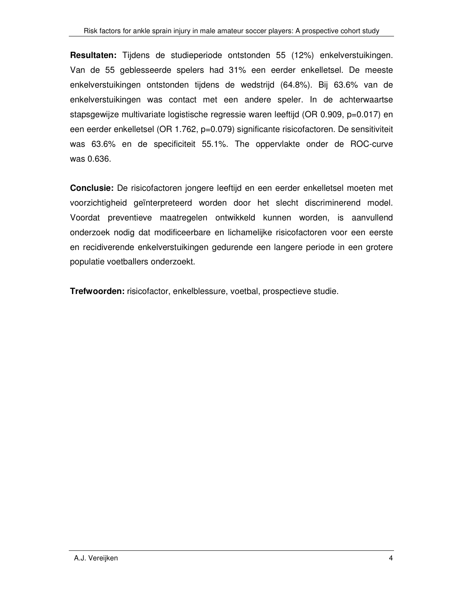**Resultaten:** Tijdens de studieperiode ontstonden 55 (12%) enkelverstuikingen. Van de 55 geblesseerde spelers had 31% een eerder enkelletsel. De meeste enkelverstuikingen ontstonden tijdens de wedstrijd (64.8%). Bij 63.6% van de enkelverstuikingen was contact met een andere speler. In de achterwaartse stapsgewijze multivariate logistische regressie waren leeftijd (OR 0.909, p=0.017) en een eerder enkelletsel (OR 1.762, p=0.079) significante risicofactoren. De sensitiviteit was 63.6% en de specificiteit 55.1%. The oppervlakte onder de ROC-curve was 0.636.

**Conclusie:** De risicofactoren jongere leeftijd en een eerder enkelletsel moeten met voorzichtigheid geïnterpreteerd worden door het slecht discriminerend model. Voordat preventieve maatregelen ontwikkeld kunnen worden, is aanvullend onderzoek nodig dat modificeerbare en lichamelijke risicofactoren voor een eerste en recidiverende enkelverstuikingen gedurende een langere periode in een grotere populatie voetballers onderzoekt.

**Trefwoorden:** risicofactor, enkelblessure, voetbal, prospectieve studie.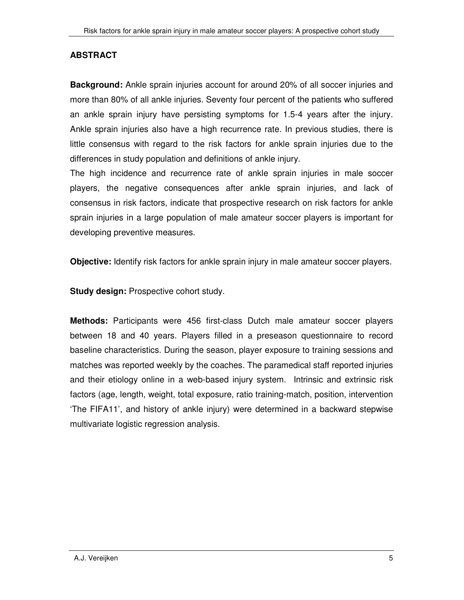## **ABSTRACT**

**Background:** Ankle sprain injuries account for around 20% of all soccer injuries and more than 80% of all ankle injuries. Seventy four percent of the patients who suffered an ankle sprain injury have persisting symptoms for 1.5-4 years after the injury. Ankle sprain injuries also have a high recurrence rate. In previous studies, there is little consensus with regard to the risk factors for ankle sprain injuries due to the differences in study population and definitions of ankle injury.

The high incidence and recurrence rate of ankle sprain injuries in male soccer players, the negative consequences after ankle sprain injuries, and lack of consensus in risk factors, indicate that prospective research on risk factors for ankle sprain injuries in a large population of male amateur soccer players is important for developing preventive measures.

**Objective:** Identify risk factors for ankle sprain injury in male amateur soccer players.

**Study design: Prospective cohort study.** 

**Methods:** Participants were 456 first-class Dutch male amateur soccer players between 18 and 40 years. Players filled in a preseason questionnaire to record baseline characteristics. During the season, player exposure to training sessions and matches was reported weekly by the coaches. The paramedical staff reported injuries and their etiology online in a web-based injury system. Intrinsic and extrinsic risk factors (age, length, weight, total exposure, ratio training-match, position, intervention 'The FIFA11', and history of ankle injury) were determined in a backward stepwise multivariate logistic regression analysis.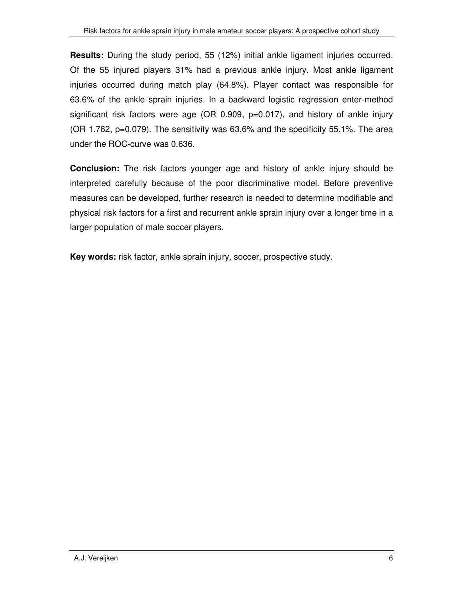**Results:** During the study period, 55 (12%) initial ankle ligament injuries occurred. Of the 55 injured players 31% had a previous ankle injury. Most ankle ligament injuries occurred during match play (64.8%). Player contact was responsible for 63.6% of the ankle sprain injuries. In a backward logistic regression enter-method significant risk factors were age (OR 0.909,  $p=0.017$ ), and history of ankle injury (OR 1.762, p=0.079). The sensitivity was 63.6% and the specificity 55.1%. The area under the ROC-curve was 0.636.

**Conclusion:** The risk factors younger age and history of ankle injury should be interpreted carefully because of the poor discriminative model. Before preventive measures can be developed, further research is needed to determine modifiable and physical risk factors for a first and recurrent ankle sprain injury over a longer time in a larger population of male soccer players.

**Key words:** risk factor, ankle sprain injury, soccer, prospective study.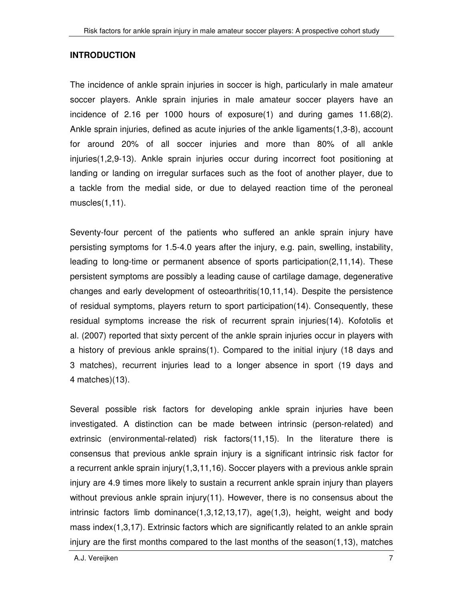#### **INTRODUCTION**

The incidence of ankle sprain injuries in soccer is high, particularly in male amateur soccer players. Ankle sprain injuries in male amateur soccer players have an incidence of 2.16 per 1000 hours of exposure(1) and during games 11.68(2). Ankle sprain injuries, defined as acute injuries of the ankle ligaments(1,3-8), account for around 20% of all soccer injuries and more than 80% of all ankle injuries(1,2,9-13). Ankle sprain injuries occur during incorrect foot positioning at landing or landing on irregular surfaces such as the foot of another player, due to a tackle from the medial side, or due to delayed reaction time of the peroneal muscles(1,11).

Seventy-four percent of the patients who suffered an ankle sprain injury have persisting symptoms for 1.5-4.0 years after the injury, e.g. pain, swelling, instability, leading to long-time or permanent absence of sports participation(2,11,14). These persistent symptoms are possibly a leading cause of cartilage damage, degenerative changes and early development of osteoarthritis(10,11,14). Despite the persistence of residual symptoms, players return to sport participation(14). Consequently, these residual symptoms increase the risk of recurrent sprain injuries(14). Kofotolis et al. (2007) reported that sixty percent of the ankle sprain injuries occur in players with a history of previous ankle sprains(1). Compared to the initial injury (18 days and 3 matches), recurrent injuries lead to a longer absence in sport (19 days and 4 matches)(13).

Several possible risk factors for developing ankle sprain injuries have been investigated. A distinction can be made between intrinsic (person-related) and extrinsic (environmental-related) risk factors(11,15). In the literature there is consensus that previous ankle sprain injury is a significant intrinsic risk factor for a recurrent ankle sprain injury(1,3,11,16). Soccer players with a previous ankle sprain injury are 4.9 times more likely to sustain a recurrent ankle sprain injury than players without previous ankle sprain injury(11). However, there is no consensus about the intrinsic factors limb dominance $(1,3,12,13,17)$ , age $(1,3)$ , height, weight and body mass index(1,3,17). Extrinsic factors which are significantly related to an ankle sprain injury are the first months compared to the last months of the season $(1,13)$ , matches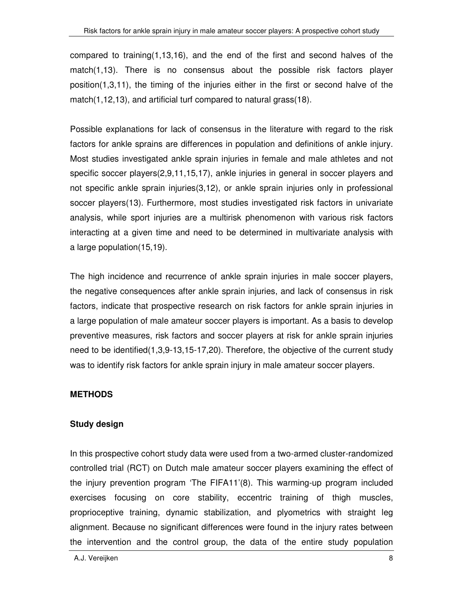compared to training(1,13,16), and the end of the first and second halves of the match(1,13). There is no consensus about the possible risk factors player position(1,3,11), the timing of the injuries either in the first or second halve of the match(1,12,13), and artificial turf compared to natural grass(18).

Possible explanations for lack of consensus in the literature with regard to the risk factors for ankle sprains are differences in population and definitions of ankle injury. Most studies investigated ankle sprain injuries in female and male athletes and not specific soccer players(2,9,11,15,17), ankle injuries in general in soccer players and not specific ankle sprain injuries(3,12), or ankle sprain injuries only in professional soccer players(13). Furthermore, most studies investigated risk factors in univariate analysis, while sport injuries are a multirisk phenomenon with various risk factors interacting at a given time and need to be determined in multivariate analysis with a large population(15,19).

The high incidence and recurrence of ankle sprain injuries in male soccer players, the negative consequences after ankle sprain injuries, and lack of consensus in risk factors, indicate that prospective research on risk factors for ankle sprain injuries in a large population of male amateur soccer players is important. As a basis to develop preventive measures, risk factors and soccer players at risk for ankle sprain injuries need to be identified(1,3,9-13,15-17,20). Therefore, the objective of the current study was to identify risk factors for ankle sprain injury in male amateur soccer players.

### **METHODS**

### **Study design**

In this prospective cohort study data were used from a two-armed cluster-randomized controlled trial (RCT) on Dutch male amateur soccer players examining the effect of the injury prevention program 'The FIFA11'(8). This warming-up program included exercises focusing on core stability, eccentric training of thigh muscles, proprioceptive training, dynamic stabilization, and plyometrics with straight leg alignment. Because no significant differences were found in the injury rates between the intervention and the control group, the data of the entire study population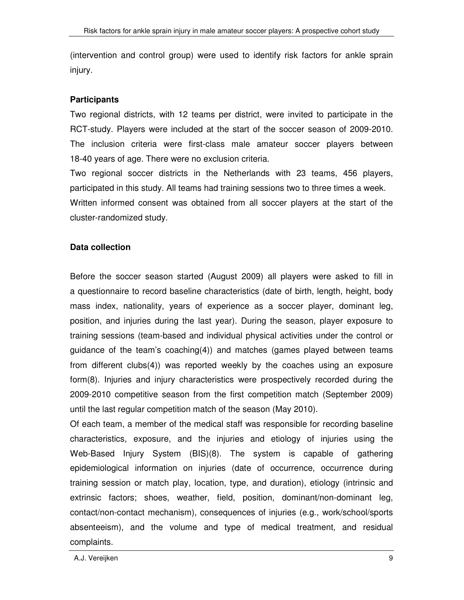(intervention and control group) were used to identify risk factors for ankle sprain injury.

#### **Participants**

Two regional districts, with 12 teams per district, were invited to participate in the RCT-study. Players were included at the start of the soccer season of 2009-2010. The inclusion criteria were first-class male amateur soccer players between 18-40 years of age. There were no exclusion criteria.

Two regional soccer districts in the Netherlands with 23 teams, 456 players, participated in this study. All teams had training sessions two to three times a week. Written informed consent was obtained from all soccer players at the start of the cluster-randomized study.

### **Data collection**

Before the soccer season started (August 2009) all players were asked to fill in a questionnaire to record baseline characteristics (date of birth, length, height, body mass index, nationality, years of experience as a soccer player, dominant leg, position, and injuries during the last year). During the season, player exposure to training sessions (team-based and individual physical activities under the control or guidance of the team's coaching(4)) and matches (games played between teams from different clubs(4)) was reported weekly by the coaches using an exposure form(8). Injuries and injury characteristics were prospectively recorded during the 2009-2010 competitive season from the first competition match (September 2009) until the last regular competition match of the season (May 2010).

Of each team, a member of the medical staff was responsible for recording baseline characteristics, exposure, and the injuries and etiology of injuries using the Web-Based Injury System (BIS)(8). The system is capable of gathering epidemiological information on injuries (date of occurrence, occurrence during training session or match play, location, type, and duration), etiology (intrinsic and extrinsic factors; shoes, weather, field, position, dominant/non-dominant leg, contact/non-contact mechanism), consequences of injuries (e.g., work/school/sports absenteeism), and the volume and type of medical treatment, and residual complaints.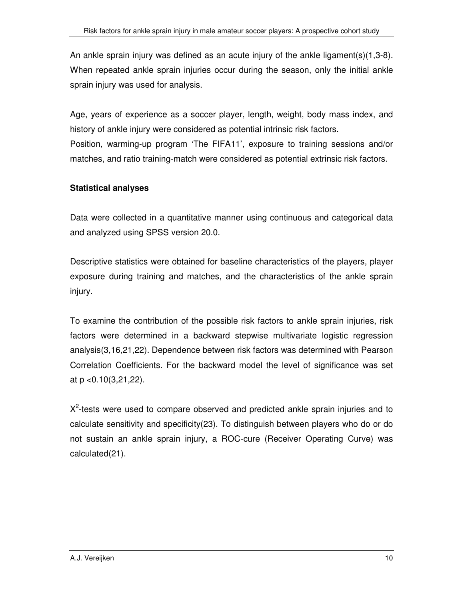An ankle sprain injury was defined as an acute injury of the ankle ligament(s)(1,3-8). When repeated ankle sprain injuries occur during the season, only the initial ankle sprain injury was used for analysis.

Age, years of experience as a soccer player, length, weight, body mass index, and history of ankle injury were considered as potential intrinsic risk factors. Position, warming-up program 'The FIFA11', exposure to training sessions and/or matches, and ratio training-match were considered as potential extrinsic risk factors.

## **Statistical analyses**

Data were collected in a quantitative manner using continuous and categorical data and analyzed using SPSS version 20.0.

Descriptive statistics were obtained for baseline characteristics of the players, player exposure during training and matches, and the characteristics of the ankle sprain injury.

To examine the contribution of the possible risk factors to ankle sprain injuries, risk factors were determined in a backward stepwise multivariate logistic regression analysis(3,16,21,22). Dependence between risk factors was determined with Pearson Correlation Coefficients. For the backward model the level of significance was set at p <0.10(3,21,22).

 $X<sup>2</sup>$ -tests were used to compare observed and predicted ankle sprain injuries and to calculate sensitivity and specificity(23). To distinguish between players who do or do not sustain an ankle sprain injury, a ROC-cure (Receiver Operating Curve) was calculated(21).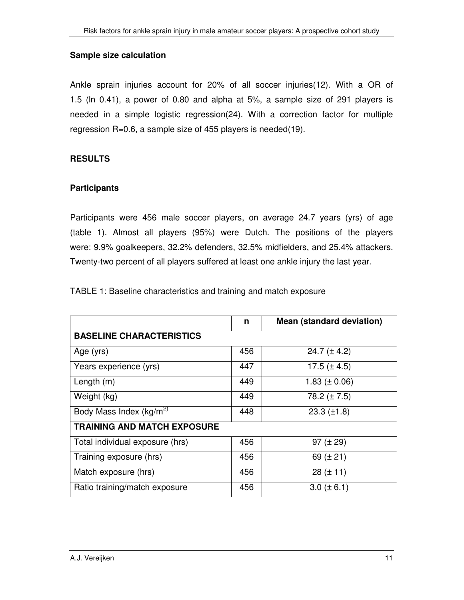#### **Sample size calculation**

Ankle sprain injuries account for 20% of all soccer injuries(12). With a OR of 1.5 (ln 0.41), a power of 0.80 and alpha at 5%, a sample size of 291 players is needed in a simple logistic regression(24). With a correction factor for multiple regression R=0.6, a sample size of 455 players is needed(19).

### **RESULTS**

#### **Participants**

Participants were 456 male soccer players, on average 24.7 years (yrs) of age (table 1). Almost all players (95%) were Dutch. The positions of the players were: 9.9% goalkeepers, 32.2% defenders, 32.5% midfielders, and 25.4% attackers. Twenty-two percent of all players suffered at least one ankle injury the last year.

TABLE 1: Baseline characteristics and training and match exposure

|                                     | n   | <b>Mean (standard deviation)</b> |  |  |  |  |
|-------------------------------------|-----|----------------------------------|--|--|--|--|
| <b>BASELINE CHARACTERISTICS</b>     |     |                                  |  |  |  |  |
| Age (yrs)                           | 456 | $24.7 (\pm 4.2)$                 |  |  |  |  |
| Years experience (yrs)              | 447 | 17.5 $(\pm 4.5)$                 |  |  |  |  |
| Length $(m)$                        | 449 | 1.83 ( $\pm$ 0.06)               |  |  |  |  |
| Weight (kg)                         | 449 | 78.2 $(\pm 7.5)$                 |  |  |  |  |
| Body Mass Index (kg/m <sup>2)</sup> | 448 | $23.3$ ( $\pm$ 1.8)              |  |  |  |  |
| <b>TRAINING AND MATCH EXPOSURE</b>  |     |                                  |  |  |  |  |
| Total individual exposure (hrs)     | 456 | 97 $(\pm 29)$                    |  |  |  |  |
| Training exposure (hrs)             | 456 | 69 $(\pm 21)$                    |  |  |  |  |
| Match exposure (hrs)                | 456 | $28 (\pm 11)$                    |  |  |  |  |
| Ratio training/match exposure       | 456 | $3.0 (\pm 6.1)$                  |  |  |  |  |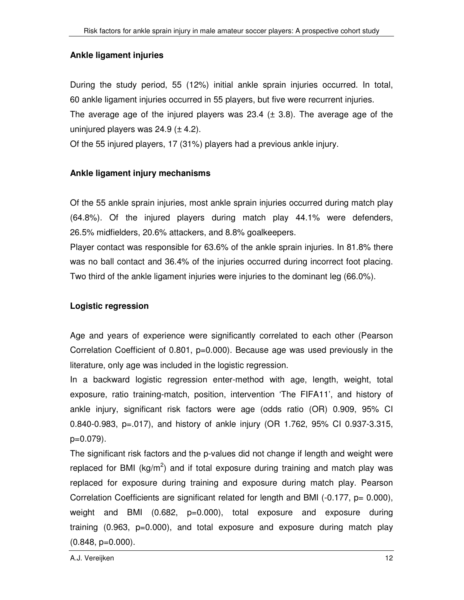#### **Ankle ligament injuries**

During the study period, 55 (12%) initial ankle sprain injuries occurred. In total, 60 ankle ligament injuries occurred in 55 players, but five were recurrent injuries. The average age of the injured players was 23.4  $(\pm 3.8)$ . The average age of the uninjured players was  $24.9$  ( $\pm$  4.2).

Of the 55 injured players, 17 (31%) players had a previous ankle injury.

### **Ankle ligament injury mechanisms**

Of the 55 ankle sprain injuries, most ankle sprain injuries occurred during match play (64.8%). Of the injured players during match play 44.1% were defenders, 26.5% midfielders, 20.6% attackers, and 8.8% goalkeepers.

Player contact was responsible for 63.6% of the ankle sprain injuries. In 81.8% there was no ball contact and 36.4% of the injuries occurred during incorrect foot placing. Two third of the ankle ligament injuries were injuries to the dominant leg (66.0%).

### **Logistic regression**

Age and years of experience were significantly correlated to each other (Pearson Correlation Coefficient of 0.801, p=0.000). Because age was used previously in the literature, only age was included in the logistic regression.

In a backward logistic regression enter-method with age, length, weight, total exposure, ratio training-match, position, intervention 'The FIFA11', and history of ankle injury, significant risk factors were age (odds ratio (OR) 0.909, 95% CI 0.840-0.983, p=.017), and history of ankle injury (OR 1.762, 95% CI 0.937-3.315, p=0.079).

The significant risk factors and the p-values did not change if length and weight were replaced for BMI ( $kg/m^2$ ) and if total exposure during training and match play was replaced for exposure during training and exposure during match play. Pearson Correlation Coefficients are significant related for length and BMI  $(-0.177, p= 0.000)$ , weight and BMI (0.682, p=0.000), total exposure and exposure during training (0.963, p=0.000), and total exposure and exposure during match play  $(0.848, p=0.000)$ .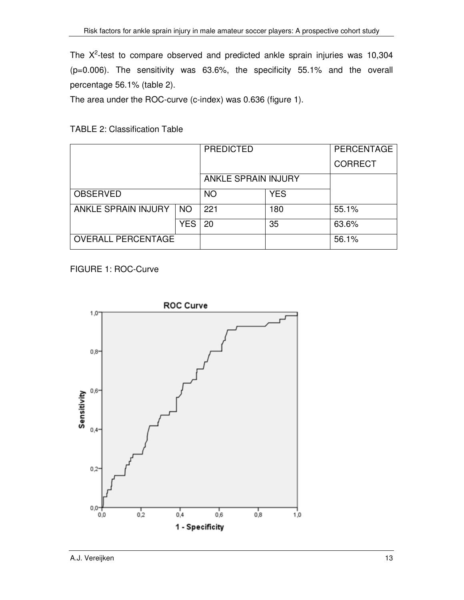The  $X^2$ -test to compare observed and predicted ankle sprain injuries was 10,304 (p=0.006). The sensitivity was 63.6%, the specificity 55.1% and the overall percentage 56.1% (table 2).

The area under the ROC-curve (c-index) was 0.636 (figure 1).

|                            |           | <b>PREDICTED</b>           |            | PERCENTAGE     |
|----------------------------|-----------|----------------------------|------------|----------------|
|                            |           |                            |            | <b>CORRECT</b> |
|                            |           | <b>ANKLE SPRAIN INJURY</b> |            |                |
| <b>OBSERVED</b>            |           | <b>NO</b>                  | <b>YES</b> |                |
| <b>ANKLE SPRAIN INJURY</b> | <b>NO</b> | 221                        | 180        | 55.1%          |
|                            | YES       | 20                         | 35         | 63.6%          |
| <b>OVERALL PERCENTAGE</b>  |           |                            |            | 56.1%          |

FIGURE 1: ROC-Curve

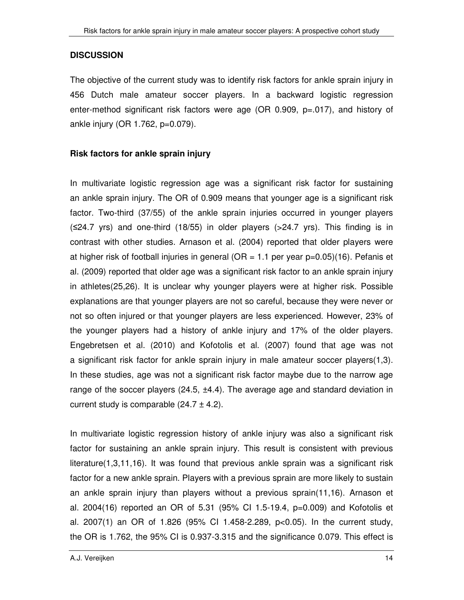#### **DISCUSSION**

The objective of the current study was to identify risk factors for ankle sprain injury in 456 Dutch male amateur soccer players. In a backward logistic regression enter-method significant risk factors were age (OR 0.909, p=.017), and history of ankle injury (OR 1.762, p=0.079).

#### **Risk factors for ankle sprain injury**

In multivariate logistic regression age was a significant risk factor for sustaining an ankle sprain injury. The OR of 0.909 means that younger age is a significant risk factor. Two-third (37/55) of the ankle sprain injuries occurred in younger players  $(\leq 24.7 \text{ yrs})$  and one-third (18/55) in older players (>24.7 yrs). This finding is in contrast with other studies. Arnason et al. (2004) reported that older players were at higher risk of football injuries in general ( $OR = 1.1$  per year  $p=0.05$ )(16). Pefanis et al. (2009) reported that older age was a significant risk factor to an ankle sprain injury in athletes(25,26). It is unclear why younger players were at higher risk. Possible explanations are that younger players are not so careful, because they were never or not so often injured or that younger players are less experienced. However, 23% of the younger players had a history of ankle injury and 17% of the older players. Engebretsen et al. (2010) and Kofotolis et al. (2007) found that age was not a significant risk factor for ankle sprain injury in male amateur soccer players(1,3). In these studies, age was not a significant risk factor maybe due to the narrow age range of the soccer players  $(24.5, \pm 4.4)$ . The average age and standard deviation in current study is comparable  $(24.7 \pm 4.2)$ .

In multivariate logistic regression history of ankle injury was also a significant risk factor for sustaining an ankle sprain injury. This result is consistent with previous literature(1,3,11,16). It was found that previous ankle sprain was a significant risk factor for a new ankle sprain. Players with a previous sprain are more likely to sustain an ankle sprain injury than players without a previous sprain(11,16). Arnason et al. 2004(16) reported an OR of 5.31 (95% CI 1.5-19.4, p=0.009) and Kofotolis et al. 2007(1) an OR of 1.826 (95% CI 1.458-2.289, p<0.05). In the current study, the OR is 1.762, the 95% CI is 0.937-3.315 and the significance 0.079. This effect is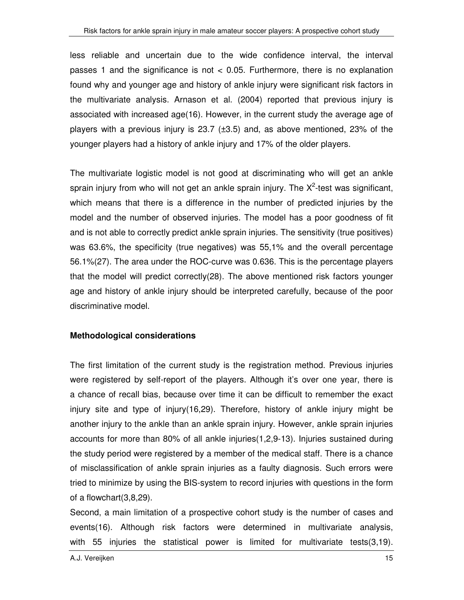less reliable and uncertain due to the wide confidence interval, the interval passes 1 and the significance is not < 0.05. Furthermore, there is no explanation found why and younger age and history of ankle injury were significant risk factors in the multivariate analysis. Arnason et al. (2004) reported that previous injury is associated with increased age(16). However, in the current study the average age of players with a previous injury is  $23.7$  ( $\pm 3.5$ ) and, as above mentioned,  $23\%$  of the younger players had a history of ankle injury and 17% of the older players.

The multivariate logistic model is not good at discriminating who will get an ankle sprain injury from who will not get an ankle sprain injury. The  $X^2$ -test was significant, which means that there is a difference in the number of predicted injuries by the model and the number of observed injuries. The model has a poor goodness of fit and is not able to correctly predict ankle sprain injuries. The sensitivity (true positives) was 63.6%, the specificity (true negatives) was 55,1% and the overall percentage 56.1%(27). The area under the ROC-curve was 0.636. This is the percentage players that the model will predict correctly(28). The above mentioned risk factors younger age and history of ankle injury should be interpreted carefully, because of the poor discriminative model.

#### **Methodological considerations**

The first limitation of the current study is the registration method. Previous injuries were registered by self-report of the players. Although it's over one year, there is a chance of recall bias, because over time it can be difficult to remember the exact injury site and type of injury(16,29). Therefore, history of ankle injury might be another injury to the ankle than an ankle sprain injury. However, ankle sprain injuries accounts for more than 80% of all ankle injuries(1,2,9-13). Injuries sustained during the study period were registered by a member of the medical staff. There is a chance of misclassification of ankle sprain injuries as a faulty diagnosis. Such errors were tried to minimize by using the BIS-system to record injuries with questions in the form of a flowchart(3,8,29).

Second, a main limitation of a prospective cohort study is the number of cases and events(16). Although risk factors were determined in multivariate analysis, with 55 injuries the statistical power is limited for multivariate tests(3,19).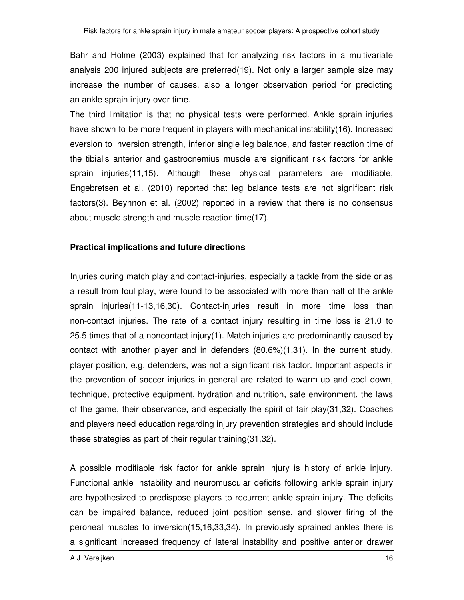Bahr and Holme (2003) explained that for analyzing risk factors in a multivariate analysis 200 injured subjects are preferred(19). Not only a larger sample size may increase the number of causes, also a longer observation period for predicting an ankle sprain injury over time.

The third limitation is that no physical tests were performed. Ankle sprain injuries have shown to be more frequent in players with mechanical instability(16). Increased eversion to inversion strength, inferior single leg balance, and faster reaction time of the tibialis anterior and gastrocnemius muscle are significant risk factors for ankle sprain injuries(11,15). Although these physical parameters are modifiable, Engebretsen et al. (2010) reported that leg balance tests are not significant risk factors(3). Beynnon et al. (2002) reported in a review that there is no consensus about muscle strength and muscle reaction time(17).

#### **Practical implications and future directions**

Injuries during match play and contact-injuries, especially a tackle from the side or as a result from foul play, were found to be associated with more than half of the ankle sprain injuries(11-13,16,30). Contact-injuries result in more time loss than non-contact injuries. The rate of a contact injury resulting in time loss is 21.0 to 25.5 times that of a noncontact injury(1). Match injuries are predominantly caused by contact with another player and in defenders  $(80.6\%)(1,31)$ . In the current study, player position, e.g. defenders, was not a significant risk factor. Important aspects in the prevention of soccer injuries in general are related to warm-up and cool down, technique, protective equipment, hydration and nutrition, safe environment, the laws of the game, their observance, and especially the spirit of fair play(31,32). Coaches and players need education regarding injury prevention strategies and should include these strategies as part of their regular training(31,32).

A possible modifiable risk factor for ankle sprain injury is history of ankle injury. Functional ankle instability and neuromuscular deficits following ankle sprain injury are hypothesized to predispose players to recurrent ankle sprain injury. The deficits can be impaired balance, reduced joint position sense, and slower firing of the peroneal muscles to inversion(15,16,33,34). In previously sprained ankles there is a significant increased frequency of lateral instability and positive anterior drawer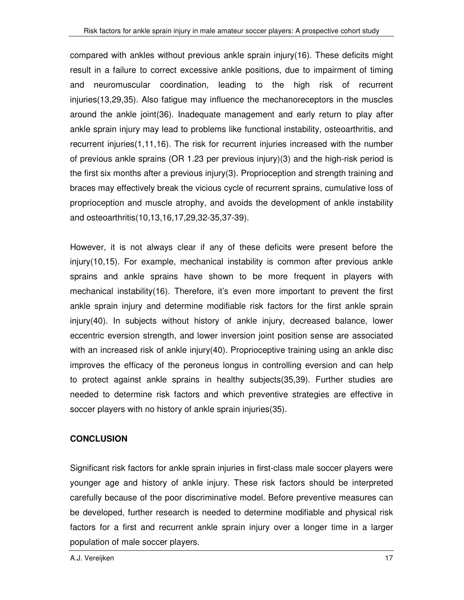compared with ankles without previous ankle sprain injury(16). These deficits might result in a failure to correct excessive ankle positions, due to impairment of timing and neuromuscular coordination, leading to the high risk of recurrent injuries(13,29,35). Also fatigue may influence the mechanoreceptors in the muscles around the ankle joint(36). Inadequate management and early return to play after ankle sprain injury may lead to problems like functional instability, osteoarthritis, and recurrent injuries(1,11,16). The risk for recurrent injuries increased with the number of previous ankle sprains (OR 1.23 per previous injury)(3) and the high-risk period is the first six months after a previous injury(3). Proprioception and strength training and braces may effectively break the vicious cycle of recurrent sprains, cumulative loss of proprioception and muscle atrophy, and avoids the development of ankle instability and osteoarthritis(10,13,16,17,29,32-35,37-39).

However, it is not always clear if any of these deficits were present before the injury(10,15). For example, mechanical instability is common after previous ankle sprains and ankle sprains have shown to be more frequent in players with mechanical instability(16). Therefore, it's even more important to prevent the first ankle sprain injury and determine modifiable risk factors for the first ankle sprain injury(40). In subjects without history of ankle injury, decreased balance, lower eccentric eversion strength, and lower inversion joint position sense are associated with an increased risk of ankle injury(40). Proprioceptive training using an ankle disc improves the efficacy of the peroneus longus in controlling eversion and can help to protect against ankle sprains in healthy subjects(35,39). Further studies are needed to determine risk factors and which preventive strategies are effective in soccer players with no history of ankle sprain injuries(35).

## **CONCLUSION**

Significant risk factors for ankle sprain injuries in first-class male soccer players were younger age and history of ankle injury. These risk factors should be interpreted carefully because of the poor discriminative model. Before preventive measures can be developed, further research is needed to determine modifiable and physical risk factors for a first and recurrent ankle sprain injury over a longer time in a larger population of male soccer players.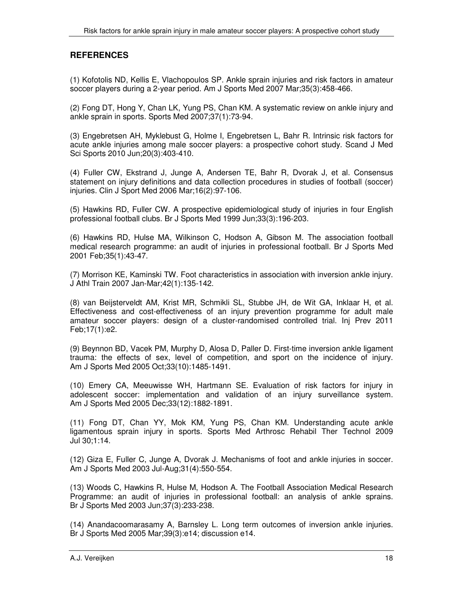#### **REFERENCES**

(1) Kofotolis ND, Kellis E, Vlachopoulos SP. Ankle sprain injuries and risk factors in amateur soccer players during a 2-year period. Am J Sports Med 2007 Mar;35(3):458-466.

(2) Fong DT, Hong Y, Chan LK, Yung PS, Chan KM. A systematic review on ankle injury and ankle sprain in sports. Sports Med 2007;37(1):73-94.

(3) Engebretsen AH, Myklebust G, Holme I, Engebretsen L, Bahr R. Intrinsic risk factors for acute ankle injuries among male soccer players: a prospective cohort study. Scand J Med Sci Sports 2010 Jun;20(3):403-410.

(4) Fuller CW, Ekstrand J, Junge A, Andersen TE, Bahr R, Dvorak J, et al. Consensus statement on injury definitions and data collection procedures in studies of football (soccer) injuries. Clin J Sport Med 2006 Mar;16(2):97-106.

(5) Hawkins RD, Fuller CW. A prospective epidemiological study of injuries in four English professional football clubs. Br J Sports Med 1999 Jun;33(3):196-203.

(6) Hawkins RD, Hulse MA, Wilkinson C, Hodson A, Gibson M. The association football medical research programme: an audit of injuries in professional football. Br J Sports Med 2001 Feb;35(1):43-47.

(7) Morrison KE, Kaminski TW. Foot characteristics in association with inversion ankle injury. J Athl Train 2007 Jan-Mar;42(1):135-142.

(8) van Beijsterveldt AM, Krist MR, Schmikli SL, Stubbe JH, de Wit GA, Inklaar H, et al. Effectiveness and cost-effectiveness of an injury prevention programme for adult male amateur soccer players: design of a cluster-randomised controlled trial. Inj Prev 2011 Feb;17(1):e2.

(9) Beynnon BD, Vacek PM, Murphy D, Alosa D, Paller D. First-time inversion ankle ligament trauma: the effects of sex, level of competition, and sport on the incidence of injury. Am J Sports Med 2005 Oct;33(10):1485-1491.

(10) Emery CA, Meeuwisse WH, Hartmann SE. Evaluation of risk factors for injury in adolescent soccer: implementation and validation of an injury surveillance system. Am J Sports Med 2005 Dec;33(12):1882-1891.

(11) Fong DT, Chan YY, Mok KM, Yung PS, Chan KM. Understanding acute ankle ligamentous sprain injury in sports. Sports Med Arthrosc Rehabil Ther Technol 2009 Jul 30;1:14.

(12) Giza E, Fuller C, Junge A, Dvorak J. Mechanisms of foot and ankle injuries in soccer. Am J Sports Med 2003 Jul-Aug;31(4):550-554.

(13) Woods C, Hawkins R, Hulse M, Hodson A. The Football Association Medical Research Programme: an audit of injuries in professional football: an analysis of ankle sprains. Br J Sports Med 2003 Jun;37(3):233-238.

(14) Anandacoomarasamy A, Barnsley L. Long term outcomes of inversion ankle injuries. Br J Sports Med 2005 Mar;39(3):e14; discussion e14.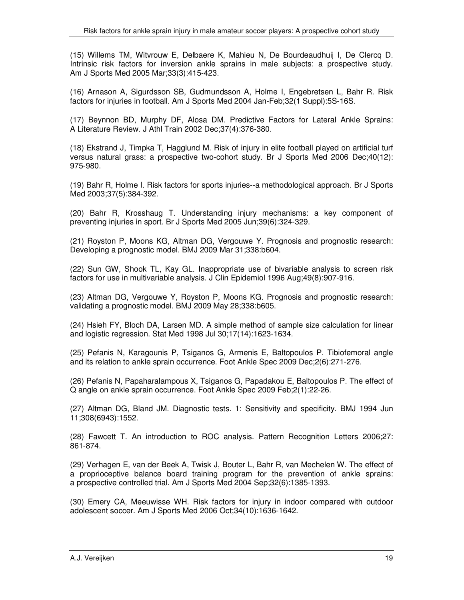(15) Willems TM, Witvrouw E, Delbaere K, Mahieu N, De Bourdeaudhuij I, De Clercq D. Intrinsic risk factors for inversion ankle sprains in male subjects: a prospective study. Am J Sports Med 2005 Mar;33(3):415-423.

(16) Arnason A, Sigurdsson SB, Gudmundsson A, Holme I, Engebretsen L, Bahr R. Risk factors for injuries in football. Am J Sports Med 2004 Jan-Feb;32(1 Suppl):5S-16S.

(17) Beynnon BD, Murphy DF, Alosa DM. Predictive Factors for Lateral Ankle Sprains: A Literature Review. J Athl Train 2002 Dec;37(4):376-380.

(18) Ekstrand J, Timpka T, Hagglund M. Risk of injury in elite football played on artificial turf versus natural grass: a prospective two-cohort study. Br J Sports Med 2006 Dec;40(12): 975-980.

(19) Bahr R, Holme I. Risk factors for sports injuries--a methodological approach. Br J Sports Med 2003;37(5):384-392.

(20) Bahr R, Krosshaug T. Understanding injury mechanisms: a key component of preventing injuries in sport. Br J Sports Med 2005 Jun;39(6):324-329.

(21) Royston P, Moons KG, Altman DG, Vergouwe Y. Prognosis and prognostic research: Developing a prognostic model. BMJ 2009 Mar 31;338:b604.

(22) Sun GW, Shook TL, Kay GL. Inappropriate use of bivariable analysis to screen risk factors for use in multivariable analysis. J Clin Epidemiol 1996 Aug;49(8):907-916.

(23) Altman DG, Vergouwe Y, Royston P, Moons KG. Prognosis and prognostic research: validating a prognostic model. BMJ 2009 May 28;338:b605.

(24) Hsieh FY, Bloch DA, Larsen MD. A simple method of sample size calculation for linear and logistic regression. Stat Med 1998 Jul 30;17(14):1623-1634.

(25) Pefanis N, Karagounis P, Tsiganos G, Armenis E, Baltopoulos P. Tibiofemoral angle and its relation to ankle sprain occurrence. Foot Ankle Spec 2009 Dec;2(6):271-276.

(26) Pefanis N, Papaharalampous X, Tsiganos G, Papadakou E, Baltopoulos P. The effect of Q angle on ankle sprain occurrence. Foot Ankle Spec 2009 Feb;2(1):22-26.

(27) Altman DG, Bland JM. Diagnostic tests. 1: Sensitivity and specificity. BMJ 1994 Jun 11;308(6943):1552.

(28) Fawcett T. An introduction to ROC analysis. Pattern Recognition Letters 2006;27: 861-874.

(29) Verhagen E, van der Beek A, Twisk J, Bouter L, Bahr R, van Mechelen W. The effect of a proprioceptive balance board training program for the prevention of ankle sprains: a prospective controlled trial. Am J Sports Med 2004 Sep;32(6):1385-1393.

(30) Emery CA, Meeuwisse WH. Risk factors for injury in indoor compared with outdoor adolescent soccer. Am J Sports Med 2006 Oct;34(10):1636-1642.